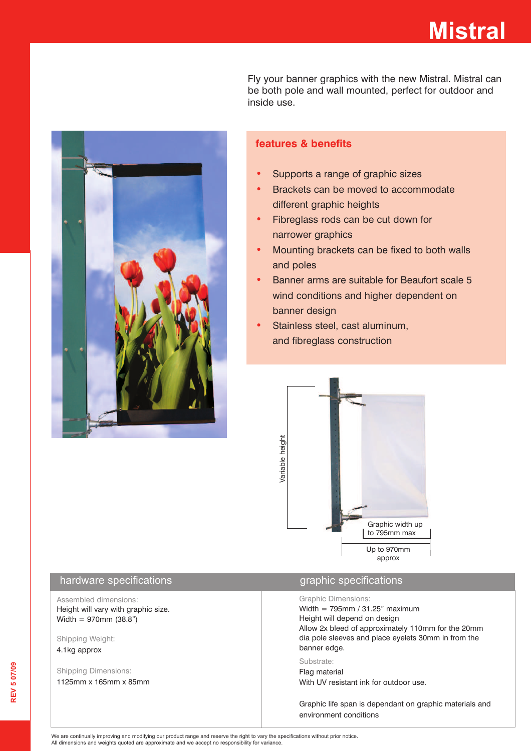# **Mistral**

Fly your banner graphics with the new Mistral. Mistral can be both pole and wall mounted, perfect for outdoor and inside use.



### **features & benefits**

- **•** Supports a range of graphic sizes
- Brackets can be moved to accommodate different graphic heights
- Fibreglass rods can be cut down for narrower graphics
- Mounting brackets can be fixed to both walls and poles
- Banner arms are suitable for Beaufort scale 5 wind conditions and higher dependent on banner design
- Stainless steel, cast aluminum, and fibreglass construction



#### hardware specifications and a state of the specifications of the specifications of the specifications

Assembled dimensions: Height will vary with graphic size. Width = 970mm (38.8")

Shipping Weight: 4.1kg approx

Shipping Dimensions: 1125mm x 165mm x 85mm

#### Graphic Dimensions:

Width =  $795$ mm /  $31.25$ " maximum Height will depend on design Allow 2x bleed of approximately 110mm for the 20mm dia pole sleeves and place eyelets 30mm in from the banner edge.

#### Substrate:

Flag material With UV resistant ink for outdoor use.

Graphic life span is dependant on graphic materials and environment conditions

We are continually improving and modifying our product range and reserve the right to vary the specifications without prior notice. All dimensions and weights quoted are approximate and we accept no responsibility for variance.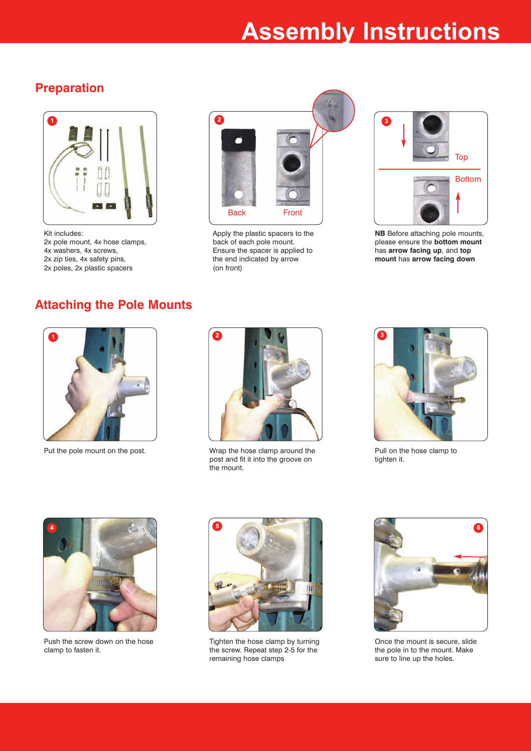# **Assembly Instructions**

### **Preparation**



Kit includes: 2x pole mount, 4x hose clamps, 4x washers, 4x screws, 2x zip ties, 4x safety pins, 2x poles, 2x plastic spacers



Apply the plastic spacers to the back of each pole mount. Ensure the spacer is applied to the end indicated by arrow (on front)



**NB** Before attaching pole mounts, please ensure the **bottom mount** has **arrow facing up**, and **top mount** has **arrow facing down**

### **Attaching the Pole Mounts**



Put the pole mount on the post. Wrap the hose clamp around the



post and fit it into the groove on the mount.



Pull on the hose clamp to tighten it.



Push the screw down on the hose clamp to fasten it.



Tighten the hose clamp by turning the screw. Repeat step 2-5 for the remaining hose clamps



Once the mount is secure, slide the pole in to the mount. Make sure to line up the holes.